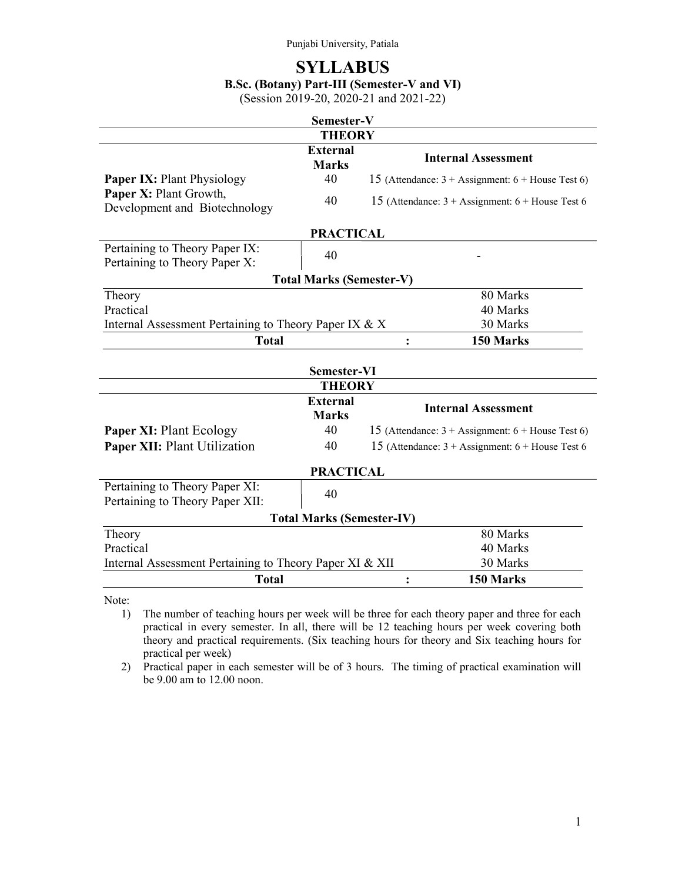# **SYLLABUS**

# B.Sc. (Botany) Part-III (Semester-V and VI)

(Session 2019-20, 2020-21 and 2021-22)

| Semester-V                                                          |                                 |                                                                     |  |  |
|---------------------------------------------------------------------|---------------------------------|---------------------------------------------------------------------|--|--|
| <b>THEORY</b>                                                       |                                 |                                                                     |  |  |
|                                                                     | <b>External</b><br><b>Marks</b> | <b>Internal Assessment</b>                                          |  |  |
| <b>Paper IX: Plant Physiology</b>                                   | 40                              | 15 (Attendance: $3 +$ Assignment: $6 +$ House Test 6)               |  |  |
| Paper X: Plant Growth,<br>Development and Biotechnology             | 40                              | 15 (Attendance: $3 +$ Assignment: $6 +$ House Test 6                |  |  |
| <b>PRACTICAL</b>                                                    |                                 |                                                                     |  |  |
| Pertaining to Theory Paper IX:<br>Pertaining to Theory Paper X:     | 40                              |                                                                     |  |  |
|                                                                     | <b>Total Marks (Semester-V)</b> |                                                                     |  |  |
| Theory                                                              |                                 | 80 Marks                                                            |  |  |
| Practical                                                           |                                 | 40 Marks                                                            |  |  |
| Internal Assessment Pertaining to Theory Paper IX $& X$             |                                 | 30 Marks                                                            |  |  |
| <b>Total</b>                                                        |                                 | 150 Marks<br>:                                                      |  |  |
| Semester-VI                                                         |                                 |                                                                     |  |  |
|                                                                     | <b>THEORY</b>                   |                                                                     |  |  |
|                                                                     | <b>External</b><br><b>Marks</b> | <b>Internal Assessment</b>                                          |  |  |
| <b>Paper XI: Plant Ecology</b>                                      | 40                              | 15 (Attendance: $3 + \text{Assignment: } 6 + \text{House Test 6}$ ) |  |  |
| Paper XII: Plant Utilization                                        | 40                              | 15 (Attendance: $3 +$ Assignment: $6 +$ House Test 6                |  |  |
| <b>PRACTICAL</b>                                                    |                                 |                                                                     |  |  |
| Pertaining to Theory Paper XI:<br>Pertaining to Theory Paper XII:   | 40                              |                                                                     |  |  |
| <b>Total Marks (Semester-IV)</b>                                    |                                 |                                                                     |  |  |
| Theory                                                              |                                 | 80 Marks                                                            |  |  |
| Practical                                                           |                                 | 40 Marks                                                            |  |  |
| 30 Marks<br>Internal Assessment Pertaining to Theory Paper XI & XII |                                 |                                                                     |  |  |
| <b>Total</b>                                                        |                                 | 150 Marks<br>$\ddot{\cdot}$                                         |  |  |

Note:

1) The number of teaching hours per week will be three for each theory paper and three for each practical in every semester. In all, there will be 12 teaching hours per week covering both theory and practical requirements. (Six teaching hours for theory and Six teaching hours for practical per week)

2) Practical paper in each semester will be of 3 hours. The timing of practical examination will be 9.00 am to 12.00 noon.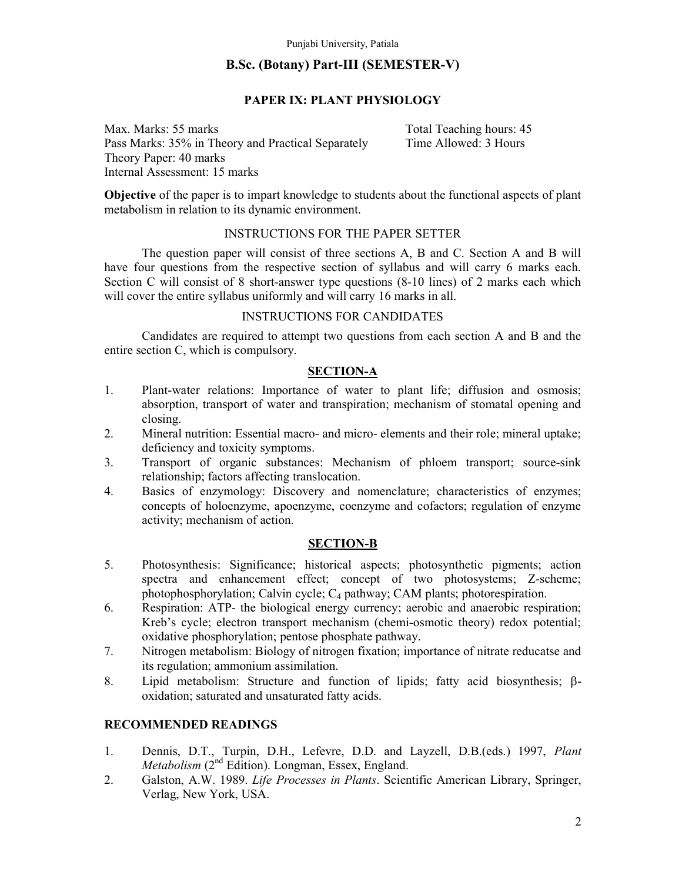# B.Sc. (Botany) Part-III (SEMESTER-V)

# PAPER IX: PLANT PHYSIOLOGY

Max. Marks: 55 marks Total Teaching hours: 45 Pass Marks: 35% in Theory and Practical Separately Time Allowed: 3 Hours Theory Paper: 40 marks Internal Assessment: 15 marks

Objective of the paper is to impart knowledge to students about the functional aspects of plant metabolism in relation to its dynamic environment.

# INSTRUCTIONS FOR THE PAPER SETTER

The question paper will consist of three sections A, B and C. Section A and B will have four questions from the respective section of syllabus and will carry 6 marks each. Section C will consist of 8 short-answer type questions (8-10 lines) of 2 marks each which will cover the entire syllabus uniformly and will carry 16 marks in all.

#### INSTRUCTIONS FOR CANDIDATES

 Candidates are required to attempt two questions from each section A and B and the entire section C, which is compulsory.

# SECTION-A

- 1. Plant-water relations: Importance of water to plant life; diffusion and osmosis; absorption, transport of water and transpiration; mechanism of stomatal opening and closing.
- 2. Mineral nutrition: Essential macro- and micro- elements and their role; mineral uptake; deficiency and toxicity symptoms.
- 3. Transport of organic substances: Mechanism of phloem transport; source-sink relationship; factors affecting translocation.
- 4. Basics of enzymology: Discovery and nomenclature; characteristics of enzymes; concepts of holoenzyme, apoenzyme, coenzyme and cofactors; regulation of enzyme activity; mechanism of action.

#### SECTION-B

- 5. Photosynthesis: Significance; historical aspects; photosynthetic pigments; action spectra and enhancement effect; concept of two photosystems; Z-scheme; photophosphorylation; Calvin cycle; C4 pathway; CAM plants; photorespiration.
- 6. Respiration: ATP- the biological energy currency; aerobic and anaerobic respiration; Kreb's cycle; electron transport mechanism (chemi-osmotic theory) redox potential; oxidative phosphorylation; pentose phosphate pathway.
- 7. Nitrogen metabolism: Biology of nitrogen fixation; importance of nitrate reducatse and its regulation; ammonium assimilation.
- 8. Lipid metabolism: Structure and function of lipids; fatty acid biosynthesis;  $\beta$ oxidation; saturated and unsaturated fatty acids.

- 1. Dennis, D.T., Turpin, D.H., Lefevre, D.D. and Layzell, D.B.(eds.) 1997, Plant Metabolism (2<sup>nd</sup> Edition). Longman, Essex, England.
- 2. Galston, A.W. 1989. Life Processes in Plants. Scientific American Library, Springer, Verlag, New York, USA.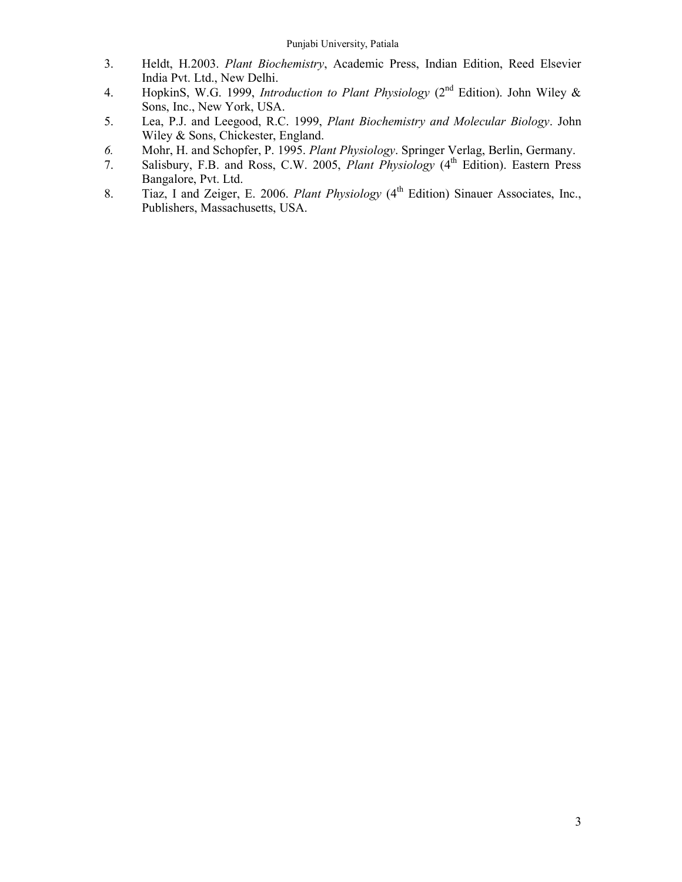- 3. Heldt, H.2003. Plant Biochemistry, Academic Press, Indian Edition, Reed Elsevier India Pvt. Ltd., New Delhi.
- 4. HopkinS, W.G. 1999, *Introduction to Plant Physiology* ( $2<sup>nd</sup>$  Edition). John Wiley & Sons, Inc., New York, USA.
- 5. Lea, P.J. and Leegood, R.C. 1999, Plant Biochemistry and Molecular Biology. John Wiley & Sons, Chickester, England.
- 6. Mohr, H. and Schopfer, P. 1995. Plant Physiology. Springer Verlag, Berlin, Germany.
- 7. Salisbury, F.B. and Ross, C.W. 2005, Plant Physiology (4<sup>th</sup> Edition). Eastern Press Bangalore, Pvt. Ltd.
- 8. Tiaz, I and Zeiger, E. 2006. Plant Physiology  $(4<sup>th</sup> Edition)$  Sinauer Associates, Inc., Publishers, Massachusetts, USA.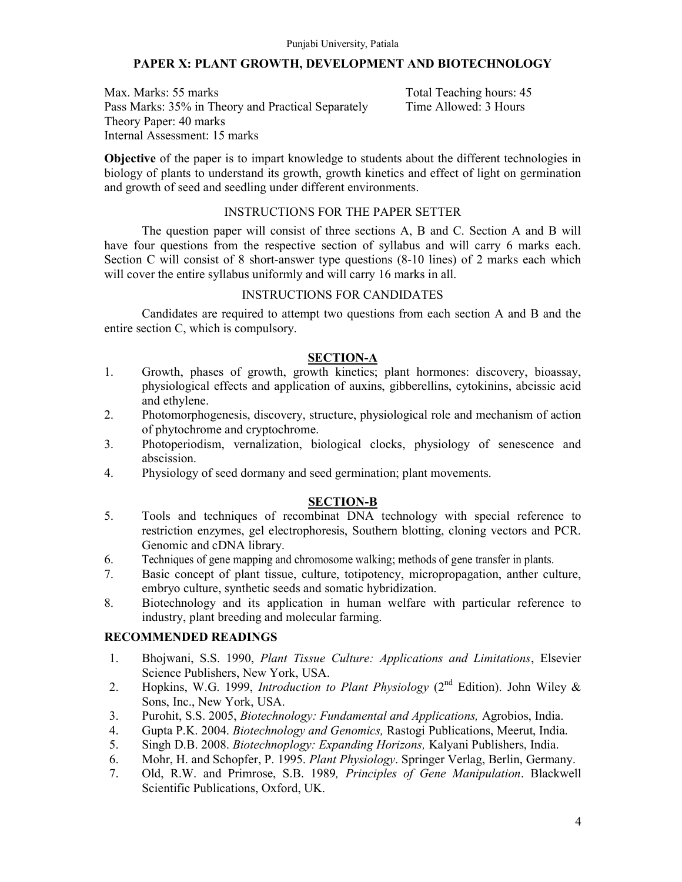# PAPER X: PLANT GROWTH, DEVELOPMENT AND BIOTECHNOLOGY

Max. Marks: 55 marks Total Teaching hours: 45 Pass Marks: 35% in Theory and Practical Separately Time Allowed: 3 Hours Theory Paper: 40 marks Internal Assessment: 15 marks

Objective of the paper is to impart knowledge to students about the different technologies in biology of plants to understand its growth, growth kinetics and effect of light on germination and growth of seed and seedling under different environments.

# INSTRUCTIONS FOR THE PAPER SETTER

The question paper will consist of three sections A, B and C. Section A and B will have four questions from the respective section of syllabus and will carry 6 marks each. Section C will consist of 8 short-answer type questions (8-10 lines) of 2 marks each which will cover the entire syllabus uniformly and will carry 16 marks in all.

# INSTRUCTIONS FOR CANDIDATES

 Candidates are required to attempt two questions from each section A and B and the entire section C, which is compulsory.

# SECTION-A

- 1. Growth, phases of growth, growth kinetics; plant hormones: discovery, bioassay, physiological effects and application of auxins, gibberellins, cytokinins, abcissic acid and ethylene.
- 2. Photomorphogenesis, discovery, structure, physiological role and mechanism of action of phytochrome and cryptochrome.
- 3. Photoperiodism, vernalization, biological clocks, physiology of senescence and abscission.
- 4. Physiology of seed dormany and seed germination; plant movements.

# SECTION-B

- 5. Tools and techniques of recombinat DNA technology with special reference to restriction enzymes, gel electrophoresis, Southern blotting, cloning vectors and PCR. Genomic and cDNA library.
- 6. Techniques of gene mapping and chromosome walking; methods of gene transfer in plants.
- 7. Basic concept of plant tissue, culture, totipotency, micropropagation, anther culture, embryo culture, synthetic seeds and somatic hybridization.
- 8. Biotechnology and its application in human welfare with particular reference to industry, plant breeding and molecular farming.

- 1. Bhojwani, S.S. 1990, Plant Tissue Culture: Applications and Limitations, Elsevier Science Publishers, New York, USA.
- 2. Hopkins, W.G. 1999, *Introduction to Plant Physiology* ( $2<sup>nd</sup>$  Edition). John Wiley & Sons, Inc., New York, USA.
- 3. Purohit, S.S. 2005, Biotechnology: Fundamental and Applications, Agrobios, India.
- 4. Gupta P.K. 2004. Biotechnology and Genomics, Rastogi Publications, Meerut, India.
- 5. Singh D.B. 2008. Biotechnoplogy: Expanding Horizons, Kalyani Publishers, India.
- 6. Mohr, H. and Schopfer, P. 1995. Plant Physiology. Springer Verlag, Berlin, Germany.
- 7. Old, R.W. and Primrose, S.B. 1989, Principles of Gene Manipulation. Blackwell Scientific Publications, Oxford, UK.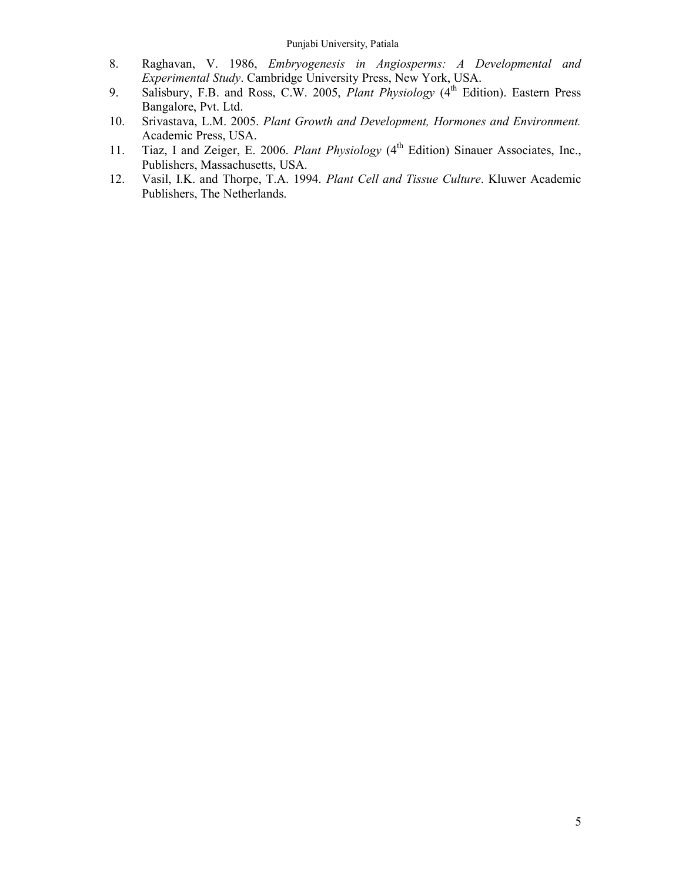- 8. Raghavan, V. 1986, Embryogenesis in Angiosperms: A Developmental and Experimental Study. Cambridge University Press, New York, USA.
- 9. Salisbury, F.B. and Ross, C.W. 2005, *Plant Physiology* (4<sup>th</sup> Edition). Eastern Press Bangalore, Pvt. Ltd.
- 10. Srivastava, L.M. 2005. Plant Growth and Development, Hormones and Environment. Academic Press, USA.
- 11. Tiaz, I and Zeiger, E. 2006. Plant Physiology (4<sup>th</sup> Edition) Sinauer Associates, Inc., Publishers, Massachusetts, USA.
- 12. Vasil, I.K. and Thorpe, T.A. 1994. Plant Cell and Tissue Culture. Kluwer Academic Publishers, The Netherlands.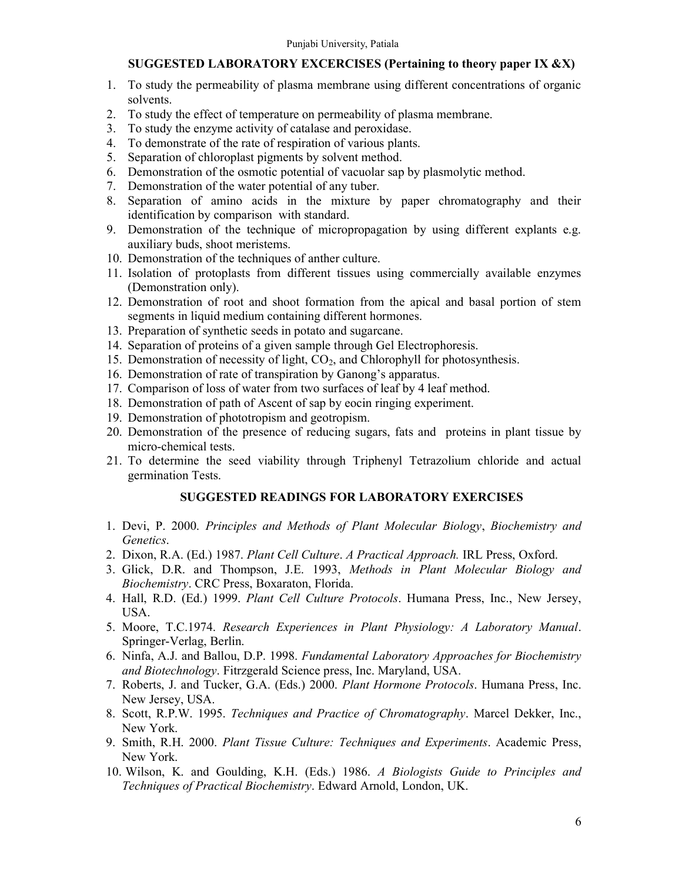# SUGGESTED LABORATORY EXCERCISES (Pertaining to theory paper IX &X)

- 1. To study the permeability of plasma membrane using different concentrations of organic solvents.
- 2. To study the effect of temperature on permeability of plasma membrane.
- 3. To study the enzyme activity of catalase and peroxidase.
- 4. To demonstrate of the rate of respiration of various plants.
- 5. Separation of chloroplast pigments by solvent method.
- 6. Demonstration of the osmotic potential of vacuolar sap by plasmolytic method.
- 7. Demonstration of the water potential of any tuber.
- 8. Separation of amino acids in the mixture by paper chromatography and their identification by comparison with standard.
- 9. Demonstration of the technique of micropropagation by using different explants e.g. auxiliary buds, shoot meristems.
- 10. Demonstration of the techniques of anther culture.
- 11. Isolation of protoplasts from different tissues using commercially available enzymes (Demonstration only).
- 12. Demonstration of root and shoot formation from the apical and basal portion of stem segments in liquid medium containing different hormones.
- 13. Preparation of synthetic seeds in potato and sugarcane.
- 14. Separation of proteins of a given sample through Gel Electrophoresis.
- 15. Demonstration of necessity of light,  $CO<sub>2</sub>$ , and Chlorophyll for photosynthesis.
- 16. Demonstration of rate of transpiration by Ganong's apparatus.
- 17. Comparison of loss of water from two surfaces of leaf by 4 leaf method.
- 18. Demonstration of path of Ascent of sap by eocin ringing experiment.
- 19. Demonstration of phototropism and geotropism.
- 20. Demonstration of the presence of reducing sugars, fats and proteins in plant tissue by micro-chemical tests.
- 21. To determine the seed viability through Triphenyl Tetrazolium chloride and actual germination Tests.

# SUGGESTED READINGS FOR LABORATORY EXERCISES

- 1. Devi, P. 2000. Principles and Methods of Plant Molecular Biology, Biochemistry and Genetics.
- 2. Dixon, R.A. (Ed.) 1987. Plant Cell Culture. A Practical Approach. IRL Press, Oxford.
- 3. Glick, D.R. and Thompson, J.E. 1993, Methods in Plant Molecular Biology and Biochemistry. CRC Press, Boxaraton, Florida.
- 4. Hall, R.D. (Ed.) 1999. Plant Cell Culture Protocols. Humana Press, Inc., New Jersey, USA.
- 5. Moore, T.C.1974. Research Experiences in Plant Physiology: A Laboratory Manual. Springer-Verlag, Berlin.
- 6. Ninfa, A.J. and Ballou, D.P. 1998. Fundamental Laboratory Approaches for Biochemistry and Biotechnology. Fitrzgerald Science press, Inc. Maryland, USA.
- 7. Roberts, J. and Tucker, G.A. (Eds.) 2000. Plant Hormone Protocols. Humana Press, Inc. New Jersey, USA.
- 8. Scott, R.P.W. 1995. Techniques and Practice of Chromatography. Marcel Dekker, Inc., New York.
- 9. Smith, R.H. 2000. Plant Tissue Culture: Techniques and Experiments. Academic Press, New York.
- 10. Wilson, K. and Goulding, K.H. (Eds.) 1986. A Biologists Guide to Principles and Techniques of Practical Biochemistry. Edward Arnold, London, UK.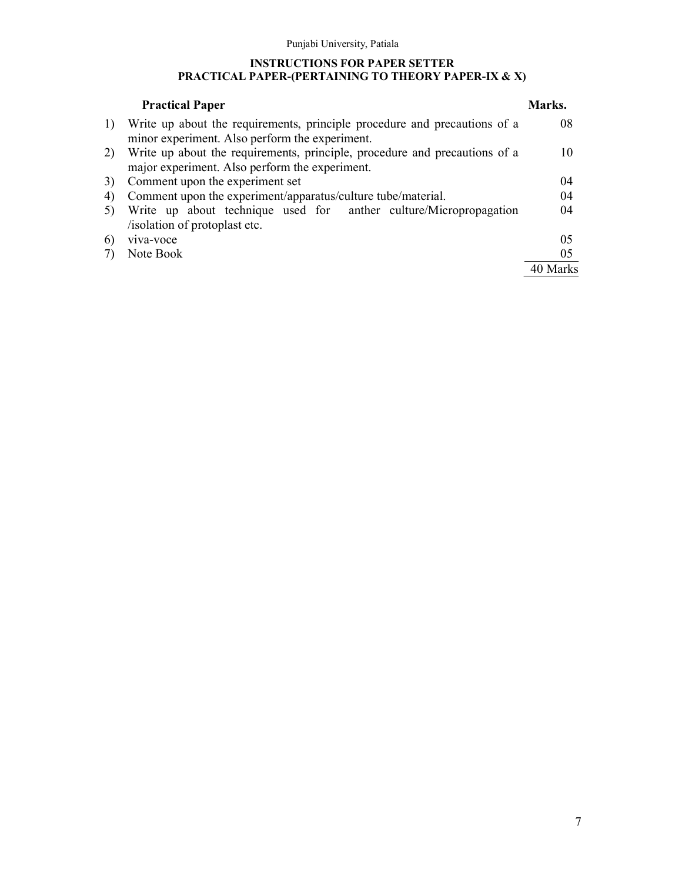#### INSTRUCTIONS FOR PAPER SETTER PRACTICAL PAPER-(PERTAINING TO THEORY PAPER-IX & X)

|    | <b>Practical Paper</b>                                                                             | Marks. |
|----|----------------------------------------------------------------------------------------------------|--------|
| 1) | Write up about the requirements, principle procedure and precautions of a                          | 08     |
|    | minor experiment. Also perform the experiment.                                                     |        |
| 2) | Write up about the requirements, principle, procedure and precautions of a                         | 10     |
|    | major experiment. Also perform the experiment.                                                     |        |
| 3) | Comment upon the experiment set                                                                    | (1)4   |
| 4) | Comment upon the experiment/apparatus/culture tube/material.                                       | 04     |
| 5) | Write up about technique used for anther culture/Micropropagation<br>/isolation of protoplast etc. | 04     |
| 6) | viva-voce                                                                                          | 05     |
|    | Note Book                                                                                          | 05     |
|    |                                                                                                    |        |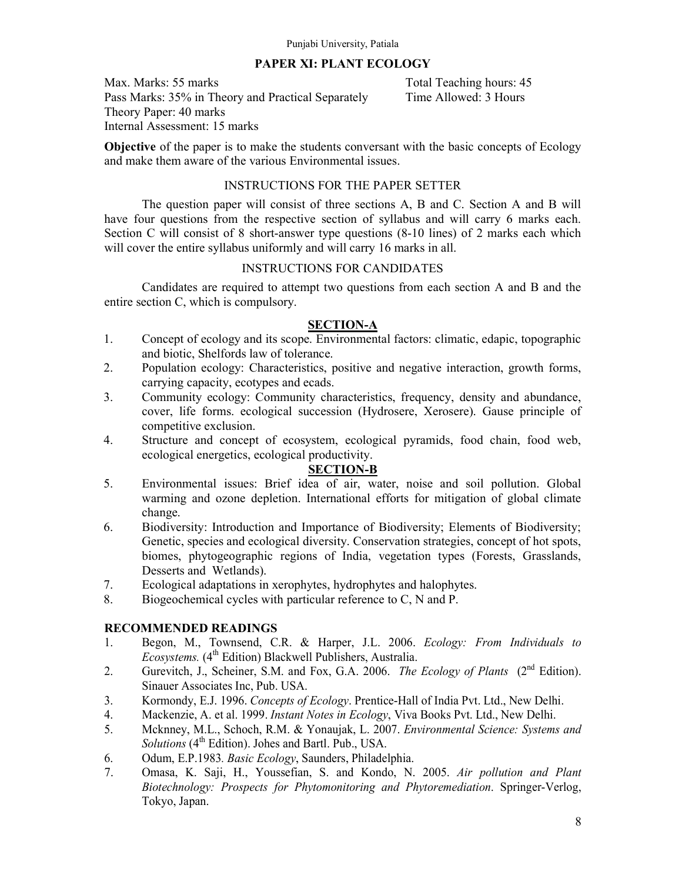# PAPER XI: PLANT ECOLOGY

Max. Marks: 55 marks Total Teaching hours: 45 Pass Marks: 35% in Theory and Practical Separately Time Allowed: 3 Hours Theory Paper: 40 marks Internal Assessment: 15 marks

Objective of the paper is to make the students conversant with the basic concepts of Ecology and make them aware of the various Environmental issues.

# INSTRUCTIONS FOR THE PAPER SETTER

The question paper will consist of three sections A, B and C. Section A and B will have four questions from the respective section of syllabus and will carry 6 marks each. Section C will consist of 8 short-answer type questions (8-10 lines) of 2 marks each which will cover the entire syllabus uniformly and will carry 16 marks in all.

# INSTRUCTIONS FOR CANDIDATES

 Candidates are required to attempt two questions from each section A and B and the entire section C, which is compulsory.

# SECTION-A

- 1. Concept of ecology and its scope. Environmental factors: climatic, edapic, topographic and biotic, Shelfords law of tolerance.
- 2. Population ecology: Characteristics, positive and negative interaction, growth forms, carrying capacity, ecotypes and ecads.
- 3. Community ecology: Community characteristics, frequency, density and abundance, cover, life forms. ecological succession (Hydrosere, Xerosere). Gause principle of competitive exclusion.
- 4. Structure and concept of ecosystem, ecological pyramids, food chain, food web, ecological energetics, ecological productivity.

#### SECTION-B

- 5. Environmental issues: Brief idea of air, water, noise and soil pollution. Global warming and ozone depletion. International efforts for mitigation of global climate change.
- 6. Biodiversity: Introduction and Importance of Biodiversity; Elements of Biodiversity; Genetic, species and ecological diversity. Conservation strategies, concept of hot spots, biomes, phytogeographic regions of India, vegetation types (Forests, Grasslands, Desserts and Wetlands).
- 7. Ecological adaptations in xerophytes, hydrophytes and halophytes.
- 8. Biogeochemical cycles with particular reference to C, N and P.

- 1. Begon, M., Townsend, C.R. & Harper, J.L. 2006. Ecology: From Individuals to  $E \text{cos}$  et al. (4<sup>th</sup> Edition) Blackwell Publishers, Australia.
- 2. Gurevitch, J., Scheiner, S.M. and Fox, G.A. 2006. *The Ecology of Plants* (2<sup>nd</sup> Edition). Sinauer Associates Inc, Pub. USA.
- 3. Kormondy, E.J. 1996. Concepts of Ecology. Prentice-Hall of India Pvt. Ltd., New Delhi.
- 4. Mackenzie, A. et al. 1999. Instant Notes in Ecology, Viva Books Pvt. Ltd., New Delhi.
- 5. Mcknney, M.L., Schoch, R.M. & Yonaujak, L. 2007. Environmental Science: Systems and  $Solutions$  ( $4<sup>th</sup> Edition$ ). Johes and Bartl. Pub., USA.
- 6. Odum, E.P.1983. Basic Ecology, Saunders, Philadelphia.
- 7. Omasa, K. Saji, H., Youssefian, S. and Kondo, N. 2005. Air pollution and Plant Biotechnology: Prospects for Phytomonitoring and Phytoremediation. Springer-Verlog, Tokyo, Japan.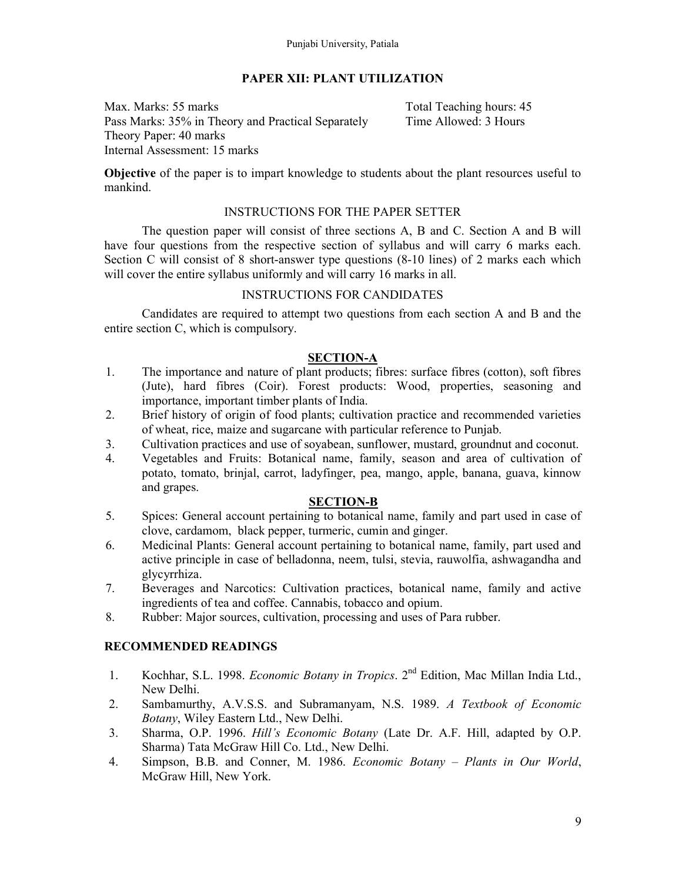# PAPER XII: PLANT UTILIZATION

Max. Marks: 55 marks Total Teaching hours: 45 Pass Marks: 35% in Theory and Practical Separately Time Allowed: 3 Hours Theory Paper: 40 marks Internal Assessment: 15 marks

Objective of the paper is to impart knowledge to students about the plant resources useful to mankind.

# INSTRUCTIONS FOR THE PAPER SETTER

The question paper will consist of three sections A, B and C. Section A and B will have four questions from the respective section of syllabus and will carry 6 marks each. Section C will consist of 8 short-answer type questions (8-10 lines) of 2 marks each which will cover the entire syllabus uniformly and will carry 16 marks in all.

# INSTRUCTIONS FOR CANDIDATES

 Candidates are required to attempt two questions from each section A and B and the entire section C, which is compulsory.

# SECTION-A

- 1. The importance and nature of plant products; fibres: surface fibres (cotton), soft fibres (Jute), hard fibres (Coir). Forest products: Wood, properties, seasoning and importance, important timber plants of India.
- 2. Brief history of origin of food plants; cultivation practice and recommended varieties of wheat, rice, maize and sugarcane with particular reference to Punjab.
- 3. Cultivation practices and use of soyabean, sunflower, mustard, groundnut and coconut.
- 4. Vegetables and Fruits: Botanical name, family, season and area of cultivation of potato, tomato, brinjal, carrot, ladyfinger, pea, mango, apple, banana, guava, kinnow and grapes.

# SECTION-B

- 5. Spices: General account pertaining to botanical name, family and part used in case of clove, cardamom, black pepper, turmeric, cumin and ginger.
- 6. Medicinal Plants: General account pertaining to botanical name, family, part used and active principle in case of belladonna, neem, tulsi, stevia, rauwolfia, ashwagandha and glycyrrhiza.
- 7. Beverages and Narcotics: Cultivation practices, botanical name, family and active ingredients of tea and coffee. Cannabis, tobacco and opium.
- 8. Rubber: Major sources, cultivation, processing and uses of Para rubber.

- 1. Kochhar, S.L. 1998. Economic Botany in Tropics. 2<sup>nd</sup> Edition, Mac Millan India Ltd., New Delhi.
- 2. Sambamurthy, A.V.S.S. and Subramanyam, N.S. 1989. A Textbook of Economic Botany, Wiley Eastern Ltd., New Delhi.
- 3. Sharma, O.P. 1996. Hill's Economic Botany (Late Dr. A.F. Hill, adapted by O.P. Sharma) Tata McGraw Hill Co. Ltd., New Delhi.
- 4. Simpson, B.B. and Conner, M. 1986. Economic Botany Plants in Our World, McGraw Hill, New York.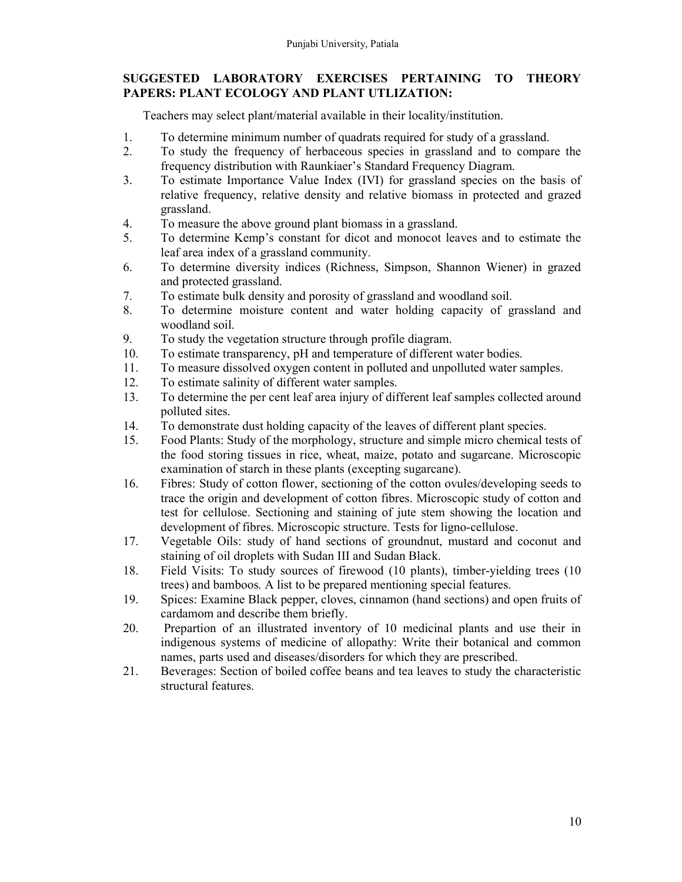# SUGGESTED LABORATORY EXERCISES PERTAINING TO THEORY PAPERS: PLANT ECOLOGY AND PLANT UTLIZATION:

Teachers may select plant/material available in their locality/institution.

- 1. To determine minimum number of quadrats required for study of a grassland.
- 2. To study the frequency of herbaceous species in grassland and to compare the frequency distribution with Raunkiaer's Standard Frequency Diagram.
- 3. To estimate Importance Value Index (IVI) for grassland species on the basis of relative frequency, relative density and relative biomass in protected and grazed grassland.
- 4. To measure the above ground plant biomass in a grassland.
- 5. To determine Kemp's constant for dicot and monocot leaves and to estimate the leaf area index of a grassland community.
- 6. To determine diversity indices (Richness, Simpson, Shannon Wiener) in grazed and protected grassland.
- 7. To estimate bulk density and porosity of grassland and woodland soil.
- 8. To determine moisture content and water holding capacity of grassland and woodland soil.
- 9. To study the vegetation structure through profile diagram.
- 10. To estimate transparency, pH and temperature of different water bodies.
- 11. To measure dissolved oxygen content in polluted and unpolluted water samples.
- 12. To estimate salinity of different water samples.
- 13. To determine the per cent leaf area injury of different leaf samples collected around polluted sites.
- 14. To demonstrate dust holding capacity of the leaves of different plant species.
- 15. Food Plants: Study of the morphology, structure and simple micro chemical tests of the food storing tissues in rice, wheat, maize, potato and sugarcane. Microscopic examination of starch in these plants (excepting sugarcane).
- 16. Fibres: Study of cotton flower, sectioning of the cotton ovules/developing seeds to trace the origin and development of cotton fibres. Microscopic study of cotton and test for cellulose. Sectioning and staining of jute stem showing the location and development of fibres. Microscopic structure. Tests for ligno-cellulose.
- 17. Vegetable Oils: study of hand sections of groundnut, mustard and coconut and staining of oil droplets with Sudan III and Sudan Black.
- 18. Field Visits: To study sources of firewood (10 plants), timber-yielding trees (10 trees) and bamboos. A list to be prepared mentioning special features.
- 19. Spices: Examine Black pepper, cloves, cinnamon (hand sections) and open fruits of cardamom and describe them briefly.
- 20. Prepartion of an illustrated inventory of 10 medicinal plants and use their in indigenous systems of medicine of allopathy: Write their botanical and common names, parts used and diseases/disorders for which they are prescribed.
- 21. Beverages: Section of boiled coffee beans and tea leaves to study the characteristic structural features.